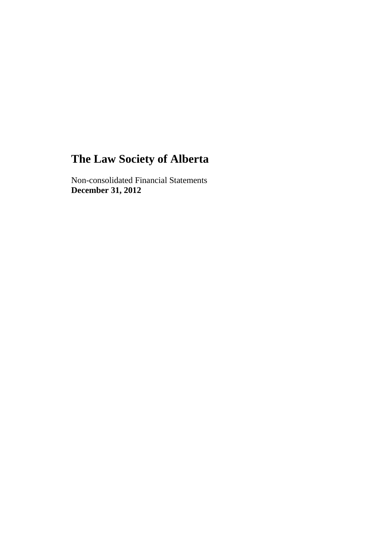Non-consolidated Financial Statements **December 31, 2012**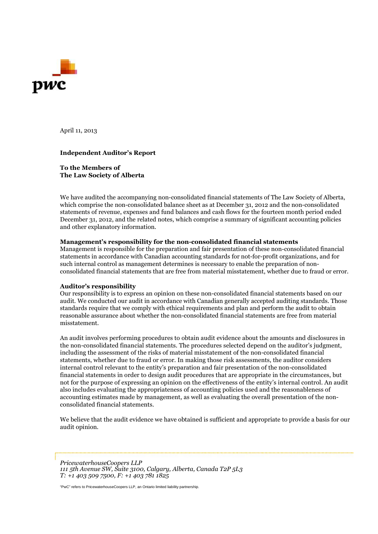

April 11, 2013

#### **Independent Auditor's Report**

**To the Members of The Law Society of Alberta**

We have audited the accompanying non-consolidated financial statements of The Law Society of Alberta, which comprise the non-consolidated balance sheet as at December 31, 2012 and the non-consolidated statements of revenue, expenses and fund balances and cash flows for the fourteen month period ended December 31, 2012, and the related notes, which comprise a summary of significant accounting policies and other explanatory information.

#### **Management's responsibility for the non-consolidated financial statements**

Management is responsible for the preparation and fair presentation of these non-consolidated financial statements in accordance with Canadian accounting standards for not-for-profit organizations, and for such internal control as management determines is necessary to enable the preparation of nonconsolidated financial statements that are free from material misstatement, whether due to fraud or error.

#### **Auditor's responsibility**

Our responsibility is to express an opinion on these non-consolidated financial statements based on our audit. We conducted our audit in accordance with Canadian generally accepted auditing standards. Those standards require that we comply with ethical requirements and plan and perform the audit to obtain reasonable assurance about whether the non-consolidated financial statements are free from material misstatement.

An audit involves performing procedures to obtain audit evidence about the amounts and disclosures in the non-consolidated financial statements. The procedures selected depend on the auditor's judgment, including the assessment of the risks of material misstatement of the non-consolidated financial statements, whether due to fraud or error. In making those risk assessments, the auditor considers internal control relevant to the entity's preparation and fair presentation of the non-consolidated financial statements in order to design audit procedures that are appropriate in the circumstances, but not for the purpose of expressing an opinion on the effectiveness of the entity's internal control. An audit also includes evaluating the appropriateness of accounting policies used and the reasonableness of accounting estimates made by management, as well as evaluating the overall presentation of the nonconsolidated financial statements.

We believe that the audit evidence we have obtained is sufficient and appropriate to provide a basis for our audit opinion.

*PricewaterhouseCoopers LLP 111 5th Avenue SW, Suite 3100, Calgary, Alberta, Canada T2P 5L3 T: +1 403 509 7500, F: +1 403 781 1825*

"PwC" refers to PricewaterhouseCoopers LLP, an Ontario limited liability partnership.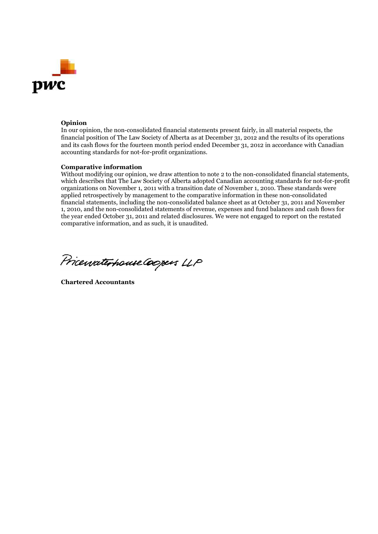

#### **Opinion**

In our opinion, the non-consolidated financial statements present fairly, in all material respects, the financial position of The Law Society of Alberta as at December 31, 2012 and the results of its operations and its cash flows for the fourteen month period ended December 31, 2012 in accordance with Canadian accounting standards for not-for-profit organizations.

#### **Comparative information**

Without modifying our opinion, we draw attention to note 2 to the non-consolidated financial statements, which describes that The Law Society of Alberta adopted Canadian accounting standards for not-for-profit organizations on November 1, 2011 with a transition date of November 1, 2010. These standards were applied retrospectively by management to the comparative information in these non-consolidated financial statements, including the non-consolidated balance sheet as at October 31, 2011 and November 1, 2010, and the non-consolidated statements of revenue, expenses and fund balances and cash flows for the year ended October 31, 2011 and related disclosures. We were not engaged to report on the restated comparative information, and as such, it is unaudited.

Pricewaterhouse Coopers LLP

**Chartered Accountants**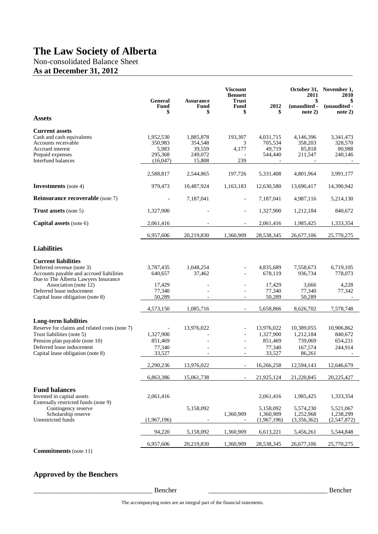Non-consolidated Balance Sheet

# **As at December 31, 2012**

|                                                                                                                                                                                                   | <b>General</b><br><b>Fund</b><br>\$                  | <b>Assurance</b><br>Fund<br>\$                      | <b>Viscount</b><br><b>Bennett</b><br><b>Trust</b><br><b>Fund</b><br>\$ | 2012<br>\$                                             | 2011<br>\$<br>(unaudited -<br>note 2)                   | October 31, November 1,<br>2010<br>S<br>(unaudited -<br>note 2) |
|---------------------------------------------------------------------------------------------------------------------------------------------------------------------------------------------------|------------------------------------------------------|-----------------------------------------------------|------------------------------------------------------------------------|--------------------------------------------------------|---------------------------------------------------------|-----------------------------------------------------------------|
| <b>Assets</b>                                                                                                                                                                                     |                                                      |                                                     |                                                                        |                                                        |                                                         |                                                                 |
| <b>Current assets</b><br>Cash and cash equivalents<br>Accounts receivable<br>Accrued interest<br>Prepaid expenses<br>Interfund balances                                                           | 1,952,530<br>350,983<br>5,983<br>295,368<br>(16,047) | 1,885,878<br>354,548<br>39,559<br>249,072<br>15,808 | 193,307<br>3<br>4,177<br>239                                           | 4,031,715<br>705,534<br>49,719<br>544,440              | 4,146,396<br>358,203<br>85,818<br>211,547               | 3,341,473<br>328,570<br>80,988<br>240,146                       |
|                                                                                                                                                                                                   | 2,588,817                                            | 2,544,865                                           | 197,726                                                                | 5,331,408                                              | 4,801,964                                               | 3,991,177                                                       |
| <b>Investments</b> (note 4)                                                                                                                                                                       | 979,473                                              | 10,487,924                                          | 1,163,183                                                              | 12,630,580                                             | 13,690,417                                              | 14,390,942                                                      |
| <b>Reinsurance recoverable</b> (note 7)                                                                                                                                                           |                                                      | 7,187,041                                           | $\overline{\phantom{a}}$                                               | 7,187,041                                              | 4,987,116                                               | 5,214,130                                                       |
| <b>Trust assets</b> (note 5)                                                                                                                                                                      | 1,327,900                                            |                                                     | $\overline{\phantom{a}}$                                               | 1,327,900                                              | 1,212,184                                               | 840,672                                                         |
| Capital assets (note 6)                                                                                                                                                                           | 2,061,416                                            |                                                     |                                                                        | 2,061,416                                              | 1,985,425                                               | 1,333,354                                                       |
|                                                                                                                                                                                                   | 6,957,606                                            | 20,219,830                                          | 1,360,909                                                              | 28,538,345                                             | 26,677,106                                              | 25,770,275                                                      |
| <b>Liabilities</b>                                                                                                                                                                                |                                                      |                                                     |                                                                        |                                                        |                                                         |                                                                 |
| <b>Current liabilities</b><br>Deferred revenue (note 3)<br>Accounts payable and accrued liabilities<br>Due to The Alberta Lawyers Insurance<br>Association (note 12)<br>Deferred lease inducement | 3,787,435<br>640,657<br>17,429<br>77,340             | 1,048,254<br>37,462                                 | $\blacksquare$                                                         | 4,835,689<br>678,119<br>17,429<br>77,340               | 7,558,673<br>936,734<br>3,666<br>77,340                 | 6,719,105<br>778,073<br>4,228<br>77,342                         |
| Capital lease obligation (note 8)                                                                                                                                                                 | 50,289                                               |                                                     | $\blacksquare$                                                         | 50,289                                                 | 50,289                                                  |                                                                 |
| Long-term liabilities                                                                                                                                                                             | 4,573,150                                            | 1,085,716                                           | $\overline{\phantom{a}}$                                               | 5,658,866                                              | 8,626,702                                               | 7,578,748                                                       |
| Reserve for claims and related costs (note 7)<br>Trust liabilities (note 5)<br>Pension plan payable (note 10)<br>Deferred lease inducement<br>Capital lease obligation (note 8)                   | 1,327,900<br>851,469<br>77,340<br>33,527             | 13,976,022                                          | $\blacksquare$<br>÷.                                                   | 13,976,022<br>1,327,900<br>851,469<br>77,340<br>33,527 | 10,389,055<br>1,212,184<br>739,069<br>167,574<br>86,261 | 10,906,862<br>840,672<br>654,231<br>244,914                     |
|                                                                                                                                                                                                   | 2,290,236                                            | 13,976,022                                          |                                                                        | 16,266,258                                             | 12,594,143                                              | 12,646,679                                                      |
|                                                                                                                                                                                                   | 6,863,386                                            | 15,061,738                                          |                                                                        | 21,925,124                                             | 21,220,845                                              | 20,225,427                                                      |
| <b>Fund balances</b><br>Invested in capital assets<br>Externally restricted funds (note 9)<br>Contingency reserve<br>Scholarship reserve<br>Unrestricted funds                                    | 2,061,416<br>(1,967,196)                             | 5,158,092                                           | 1,360,909<br>$\overline{\phantom{a}}$                                  | 2,061,416<br>5,158,092<br>1,360,909<br>(1,967,196)     | 1,985,425<br>5,574,230<br>1,252,968<br>(3,356,362)      | 1,333,354<br>5,521,067<br>1,238,299<br>(2,547,872)              |
|                                                                                                                                                                                                   | 94,220                                               | 5,158,092                                           | 1,360,909                                                              | 6,613,221                                              | 5,456,261                                               | 5,544,848                                                       |
|                                                                                                                                                                                                   | 6,957,606                                            | 20,219,830                                          | 1,360,909                                                              | 28,538,345                                             | 26,677,106                                              | 25,770,275                                                      |
| $Commitm$ <sub>onta</sub> $(neta)$                                                                                                                                                                |                                                      |                                                     |                                                                        |                                                        |                                                         |                                                                 |

**Commitments** (note 11)

### **Approved by the Benchers**

\_\_\_\_\_\_\_\_\_\_\_\_\_\_\_\_\_\_\_\_\_\_\_\_\_\_\_\_\_\_\_\_\_\_\_ Bencher \_\_\_\_\_\_\_\_\_\_\_\_\_\_\_\_\_\_\_\_\_\_\_\_\_\_\_\_\_\_\_\_\_\_\_ Bencher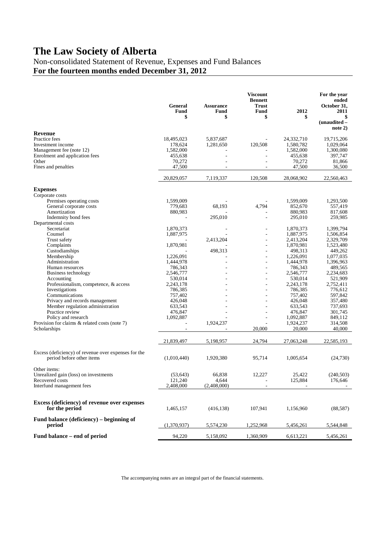Non-consolidated Statement of Revenue, Expenses and Fund Balances **For the fourteen months ended December 31, 2012**

|                                                                                   | <b>General</b><br>Fund<br>\$ | <b>Assurance</b><br>Fund<br>\$ | <b>Viscount</b><br><b>Bennett</b><br>Trust<br>Fund<br>\$ | 2012<br>\$              | For the year<br>ended<br>October 31.<br>2011<br>S<br>(unaudited - |
|-----------------------------------------------------------------------------------|------------------------------|--------------------------------|----------------------------------------------------------|-------------------------|-------------------------------------------------------------------|
|                                                                                   |                              |                                |                                                          |                         | note 2)                                                           |
| <b>Revenue</b>                                                                    |                              |                                |                                                          |                         | 19,715,206                                                        |
| Practice fees<br>Investment income                                                | 18,495,023<br>178,624        | 5,837,687<br>1,281,650         | 120,508                                                  | 24,332,710<br>1,580,782 | 1,029,064                                                         |
| Management fee (note 12)                                                          | 1,582,000                    |                                |                                                          | 1,582,000               | 1,300,080                                                         |
| Enrolment and application fees                                                    | 455,638                      |                                |                                                          | 455,638                 | 397,747                                                           |
| Other                                                                             | 70,272                       |                                |                                                          | 70,272                  | 81,866                                                            |
| Fines and penalties                                                               | 47,500                       |                                |                                                          | 47,500                  | 36,500                                                            |
|                                                                                   | 20,829,057                   | 7,119,337                      | 120,508                                                  | 28,068,902              | 22,560,463                                                        |
| <b>Expenses</b>                                                                   |                              |                                |                                                          |                         |                                                                   |
| Corporate costs                                                                   |                              |                                |                                                          |                         |                                                                   |
| Premises operating costs                                                          | 1,599,009                    |                                |                                                          | 1,599,009               | 1,293,500                                                         |
| General corporate costs                                                           | 779,683                      | 68,193                         | 4,794                                                    | 852,670                 | 557,419                                                           |
| Amortization                                                                      | 880,983                      |                                |                                                          | 880,983                 | 817,608                                                           |
| Indemnity bond fees                                                               |                              | 295,010                        |                                                          | 295,010                 | 259,985                                                           |
| Departmental costs                                                                |                              |                                |                                                          |                         |                                                                   |
| Secretariat                                                                       | 1,870,373                    |                                |                                                          | 1,870,373               | 1,399,794                                                         |
| Counsel                                                                           | 1,887,975                    |                                |                                                          | 1,887,975               | 1,506,854                                                         |
| Trust safety<br>Complaints                                                        | 1,870,981                    | 2,413,204                      | ÷                                                        | 2,413,204<br>1,870,981  | 2,329,709<br>1,523,480                                            |
| Custodianships                                                                    |                              | 498,313                        |                                                          | 498,313                 | 449,262                                                           |
| Membership                                                                        | 1,226,091                    |                                |                                                          | 1,226,091               | 1,077,035                                                         |
| Administration                                                                    | 1,444,978                    |                                |                                                          | 1,444,978               | 1,396,963                                                         |
| Human resources                                                                   | 786,343                      |                                | ٠                                                        | 786,343                 | 489,565                                                           |
| Business technology                                                               | 2,546,777                    |                                | ٠                                                        | 2,546,777               | 2,234,683                                                         |
| Accounting                                                                        | 530,014                      |                                | $\sim$                                                   | 530,014                 | 521,909                                                           |
| Professionalism, competence, & access                                             | 2,243,178                    |                                | ٠                                                        | 2,243,178               | 2,752,411                                                         |
| Investigations                                                                    | 786,385                      |                                |                                                          | 786,385                 | 776,612                                                           |
| Communications<br>Privacy and records management                                  | 757,402<br>426,048           |                                |                                                          | 757,402<br>426,048      | 597,842<br>357,480                                                |
| Member regulation administration                                                  | 633,543                      |                                |                                                          | 633,543                 | 737,693                                                           |
| Practice review                                                                   | 476,847                      |                                |                                                          | 476,847                 | 301,745                                                           |
| Policy and research                                                               | 1,092,887                    |                                |                                                          | 1,092,887               | 849,112                                                           |
| Provision for claims & related costs (note 7)                                     |                              | 1,924,237                      |                                                          | 1,924,237               | 314,508                                                           |
| Scholarships                                                                      | L.                           |                                | 20,000                                                   | 20,000                  | 40,000                                                            |
|                                                                                   | 21,839,497                   | 5,198,957                      | 24,794                                                   | 27,063,248              | 22,585,193                                                        |
|                                                                                   |                              |                                |                                                          |                         |                                                                   |
| Excess (deficiency) of revenue over expenses for the<br>period before other items | (1,010,440)                  | 1,920,380                      | 95,714                                                   | 1,005,654               | (24,730)                                                          |
| Other items:                                                                      |                              |                                |                                                          |                         |                                                                   |
| Unrealized gain (loss) on investments                                             | (53, 643)                    | 66,838                         | 12,227                                                   | 25,422                  | (240, 503)                                                        |
| Recovered costs                                                                   | 121,240                      | 4,644                          |                                                          | 125,884                 | 176,646                                                           |
| Interfund management fees                                                         | 2,408,000                    | (2,408,000)                    |                                                          |                         |                                                                   |
|                                                                                   |                              |                                |                                                          |                         |                                                                   |
| Excess (deficiency) of revenue over expenses<br>for the period                    | 1,465,157                    | (416, 138)                     | 107,941                                                  | 1,156,960               | (88, 587)                                                         |
| Fund balance (deficiency) – beginning of<br>period                                | (1,370,937)                  | 5,574,230                      | 1,252,968                                                | 5,456,261               | 5,544,848                                                         |
| Fund balance – end of period                                                      | 94,220                       | 5,158,092                      | 1,360,909                                                | 6,613,221               | 5,456,261                                                         |

The accompanying notes are an integral part of the financial statements.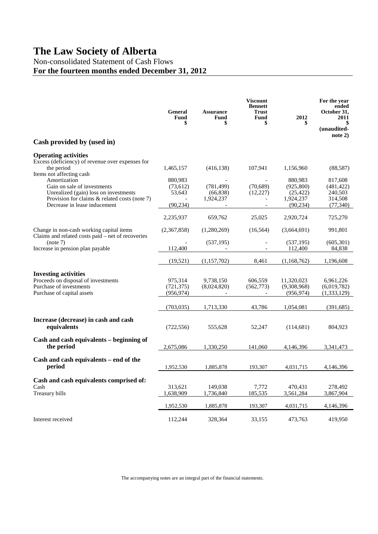### Non-consolidated Statement of Cash Flows

# **For the fourteen months ended December 31, 2012**

|                                                                                                                                                                       | General<br><b>Fund</b><br>\$                | <b>Assurance</b><br><b>Fund</b><br>\$ | <b>Viscount</b><br><b>Bennett</b><br><b>Trust</b><br><b>Fund</b><br>\$ | 2012<br>\$                                                   | For the year<br>ended<br>October 31,<br>2011<br>\$<br>(unaudited- |
|-----------------------------------------------------------------------------------------------------------------------------------------------------------------------|---------------------------------------------|---------------------------------------|------------------------------------------------------------------------|--------------------------------------------------------------|-------------------------------------------------------------------|
| Cash provided by (used in)                                                                                                                                            |                                             |                                       |                                                                        |                                                              | note 2)                                                           |
| <b>Operating activities</b><br>Excess (deficiency) of revenue over expenses for                                                                                       |                                             |                                       |                                                                        |                                                              |                                                                   |
| the period<br>Items not affecting cash                                                                                                                                | 1,465,157                                   | (416, 138)                            | 107,941                                                                | 1,156,960                                                    | (88, 587)                                                         |
| Amortization<br>Gain on sale of investments<br>Unrealized (gain) loss on investments<br>Provision for claims & related costs (note 7)<br>Decrease in lease inducement | 880,983<br>(73, 612)<br>53,643<br>(90, 234) | (781, 499)<br>(66, 838)<br>1,924,237  | (70, 689)<br>(12,227)                                                  | 880.983<br>(925, 800)<br>(25, 422)<br>1,924,237<br>(90, 234) | 817,608<br>(481, 422)<br>240,503<br>314,508<br>(77, 340)          |
|                                                                                                                                                                       |                                             |                                       |                                                                        |                                                              |                                                                   |
| Change in non-cash working capital items                                                                                                                              | 2,235,937<br>(2,367,858)                    | 659,762<br>(1,280,269)                | 25,025<br>(16, 564)                                                    | 2,920,724<br>(3,664,691)                                     | 725,270<br>991,801                                                |
| Claims and related costs paid – net of recoveries<br>(note 7)<br>Increase in pension plan payable                                                                     | 112,400                                     | (537, 195)                            |                                                                        | (537, 195)<br>112,400                                        | (605, 301)<br>84,838                                              |
|                                                                                                                                                                       | (19, 521)                                   | (1,157,702)                           | 8,461                                                                  | (1,168,762)                                                  | 1,196,608                                                         |
| <b>Investing activities</b><br>Proceeds on disposal of investments<br>Purchase of investments<br>Purchase of capital assets                                           | 975,314<br>(721, 375)<br>(956, 974)         | 9,738,150<br>(8,024,820)              | 606,559<br>(562, 773)                                                  | 11,320,023<br>(9,308,968)<br>(956, 974)                      | 6,961,226<br>(6,019,782)<br>(1,333,129)                           |
|                                                                                                                                                                       | (703, 035)                                  | 1,713,330                             | 43,786                                                                 | 1,054,081                                                    | (391, 685)                                                        |
| Increase (decrease) in cash and cash<br>equivalents                                                                                                                   | (722, 556)                                  | 555,628                               | 52,247                                                                 | (114,681)                                                    | 804,923                                                           |
| Cash and cash equivalents - beginning of<br>the period                                                                                                                | 2,675,086                                   | 1,330,250                             | 141,060                                                                | 4,146,396                                                    | 3,341,473                                                         |
| Cash and cash equivalents - end of the<br>period                                                                                                                      | 1,952,530                                   | 1,885,878                             | 193,307                                                                | 4,031,715                                                    | 4,146,396                                                         |
| Cash and cash equivalents comprised of:<br>Cash<br>Treasury bills                                                                                                     | 313,621<br>1,638,909                        | 149,038<br>1,736,840                  | 7,772<br>185,535                                                       | 470,431<br>3,561,284                                         | 278,492<br>3,867,904                                              |
|                                                                                                                                                                       | 1,952,530                                   | 1,885,878                             | 193,307                                                                | 4,031,715                                                    | 4,146,396                                                         |
| Interest received                                                                                                                                                     | 112,244                                     | 328,364                               | 33,155                                                                 | 473,763                                                      | 419,950                                                           |

The accompanying notes are an integral part of the financial statements.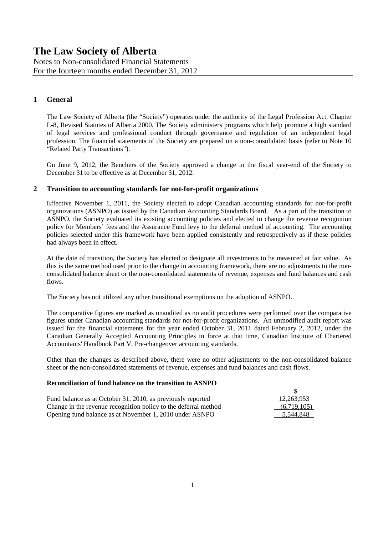Notes to Non-consolidated Financial Statements For the fourteen months ended December 31, 2012

### **1 General**

The Law Society of Alberta (the "Society") operates under the authority of the Legal Profession Act, Chapter L-8, Revised Statutes of Alberta 2000. The Society administers programs which help promote a high standard of legal services and professional conduct through governance and regulation of an independent legal profession. The financial statements of the Society are prepared on a non-consolidated basis (refer to Note 10 "Related Party Transactions").

On June 9, 2012, the Benchers of the Society approved a change in the fiscal year-end of the Society to December 31 to be effective as at December 31, 2012.

### **2 Transition to accounting standards for not-for-profit organizations**

Effective November 1, 2011, the Society elected to adopt Canadian accounting standards for not-for-profit organizations (ASNPO) as issued by the Canadian Accounting Standards Board. As a part of the transition to ASNPO, the Society evaluated its existing accounting policies and elected to change the revenue recognition policy for Members' fees and the Assurance Fund levy to the deferral method of accounting. The accounting policies selected under this framework have been applied consistently and retrospectively as if these policies had always been in effect.

At the date of transition, the Society has elected to designate all investments to be measured at fair value. As this is the same method used prior to the change in accounting framework, there are no adjustments to the nonconsolidated balance sheet or the non-consolidated statements of revenue, expenses and fund balances and cash flows.

The Society has not utilized any other transitional exemptions on the adoption of ASNPO.

The comparative figures are marked as unaudited as no audit procedures were performed over the comparative figures under Canadian accounting standards for not-for-profit organizations. An unmodified audit report was issued for the financial statements for the year ended October 31, 2011 dated February 2, 2012, under the Canadian Generally Accepted Accounting Principles in force at that time, Canadian Institute of Chartered Accountants' Handbook Part V, Pre-changeover accounting standards.

Other than the changes as described above, there were no other adjustments to the non-consolidated balance sheet or the non-consolidated statements of revenue, expenses and fund balances and cash flows.

#### **Reconciliation of fund balance on the transition to ASNPO**

| Fund balance as at October 31, 2010, as previously reported     | 12.263.953  |
|-----------------------------------------------------------------|-------------|
| Change in the revenue recognition policy to the deferral method | (6,719,105) |
| Opening fund balance as at November 1, 2010 under ASNPO         | 5,544,848   |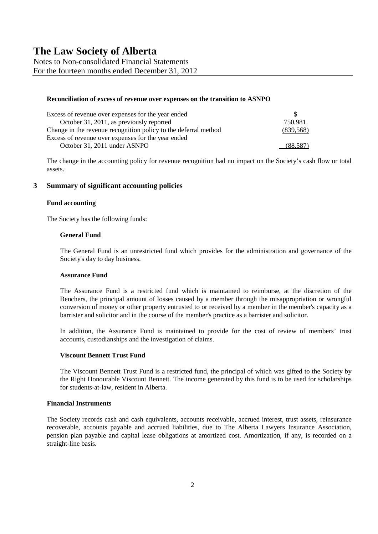Notes to Non-consolidated Financial Statements For the fourteen months ended December 31, 2012

#### **Reconciliation of excess of revenue over expenses on the transition to ASNPO**

| Excess of revenue over expenses for the year ended              | S.         |
|-----------------------------------------------------------------|------------|
| October 31, 2011, as previously reported                        | 750,981    |
| Change in the revenue recognition policy to the deferral method | (839, 568) |
| Excess of revenue over expenses for the year ended              |            |
| October 31, 2011 under ASNPO                                    | (88.587)   |

The change in the accounting policy for revenue recognition had no impact on the Society's cash flow or total assets.

### **3 Summary of significant accounting policies**

#### **Fund accounting**

The Society has the following funds:

#### **General Fund**

The General Fund is an unrestricted fund which provides for the administration and governance of the Society's day to day business.

#### **Assurance Fund**

The Assurance Fund is a restricted fund which is maintained to reimburse, at the discretion of the Benchers, the principal amount of losses caused by a member through the misappropriation or wrongful conversion of money or other property entrusted to or received by a member in the member's capacity as a barrister and solicitor and in the course of the member's practice as a barrister and solicitor.

In addition, the Assurance Fund is maintained to provide for the cost of review of members' trust accounts, custodianships and the investigation of claims.

#### **Viscount Bennett Trust Fund**

The Viscount Bennett Trust Fund is a restricted fund, the principal of which was gifted to the Society by the Right Honourable Viscount Bennett. The income generated by this fund is to be used for scholarships for students-at-law, resident in Alberta.

### **Financial Instruments**

The Society records cash and cash equivalents, accounts receivable, accrued interest, trust assets, reinsurance recoverable, accounts payable and accrued liabilities, due to The Alberta Lawyers Insurance Association, pension plan payable and capital lease obligations at amortized cost. Amortization, if any, is recorded on a straight-line basis.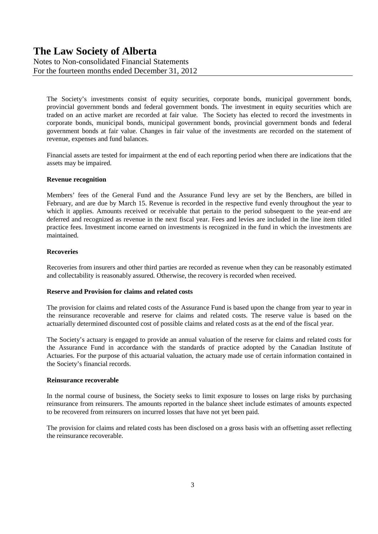Notes to Non-consolidated Financial Statements For the fourteen months ended December 31, 2012

The Society's investments consist of equity securities, corporate bonds, municipal government bonds, provincial government bonds and federal government bonds. The investment in equity securities which are traded on an active market are recorded at fair value. The Society has elected to record the investments in corporate bonds, municipal bonds, municipal government bonds, provincial government bonds and federal government bonds at fair value. Changes in fair value of the investments are recorded on the statement of revenue, expenses and fund balances.

Financial assets are tested for impairment at the end of each reporting period when there are indications that the assets may be impaired.

#### **Revenue recognition**

Members' fees of the General Fund and the Assurance Fund levy are set by the Benchers, are billed in February, and are due by March 15. Revenue is recorded in the respective fund evenly throughout the year to which it applies. Amounts received or receivable that pertain to the period subsequent to the year-end are deferred and recognized as revenue in the next fiscal year. Fees and levies are included in the line item titled practice fees. Investment income earned on investments is recognized in the fund in which the investments are maintained.

### **Recoveries**

Recoveries from insurers and other third parties are recorded as revenue when they can be reasonably estimated and collectability is reasonably assured. Otherwise, the recovery is recorded when received.

#### **Reserve and Provision for claims and related costs**

The provision for claims and related costs of the Assurance Fund is based upon the change from year to year in the reinsurance recoverable and reserve for claims and related costs. The reserve value is based on the actuarially determined discounted cost of possible claims and related costs as at the end of the fiscal year.

The Society's actuary is engaged to provide an annual valuation of the reserve for claims and related costs for the Assurance Fund in accordance with the standards of practice adopted by the Canadian Institute of Actuaries. For the purpose of this actuarial valuation, the actuary made use of certain information contained in the Society's financial records.

#### **Reinsurance recoverable**

In the normal course of business, the Society seeks to limit exposure to losses on large risks by purchasing reinsurance from reinsurers. The amounts reported in the balance sheet include estimates of amounts expected to be recovered from reinsurers on incurred losses that have not yet been paid.

The provision for claims and related costs has been disclosed on a gross basis with an offsetting asset reflecting the reinsurance recoverable.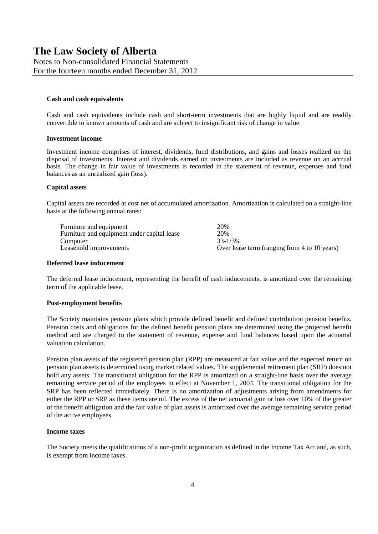Notes to Non-consolidated Financial Statements For the fourteen months ended December 31, 2012

#### **Cash and cash equivalents**

Cash and cash equivalents include cash and short-term investments that are highly liquid and are readily convertible to known amounts of cash and are subject to insignificant risk of change in value.

#### **Investment income**

Investment income comprises of interest, dividends, fund distributions, and gains and losses realized on the disposal of investments. Interest and dividends earned on investments are included as revenue on an accrual basis. The change in fair value of investments is recorded in the statement of revenue, expenses and fund balances as an unrealized gain (loss).

#### **Capital assets**

Capital assets are recorded at cost net of accumulated amortization. Amortization is calculated on a straight-line basis at the following annual rates:

| Furniture and equipment                     | 20%                                          |
|---------------------------------------------|----------------------------------------------|
| Furniture and equipment under capital lease | 20%                                          |
| Computer                                    | $33 - 1/3\%$                                 |
| Leasehold improvements                      | Over lease term (ranging from 4 to 10 years) |

#### **Deferred lease inducement**

The deferred lease inducement, representing the benefit of cash inducements, is amortized over the remaining term of the applicable lease.

#### **Post-employment benefits**

The Society maintains pension plans which provide defined benefit and defined contribution pension benefits. Pension costs and obligations for the defined benefit pension plans are determined using the projected benefit method and are charged to the statement of revenue, expense and fund balances based upon the actuarial valuation calculation.

Pension plan assets of the registered pension plan (RPP) are measured at fair value and the expected return on pension plan assets is determined using market related values. The supplemental retirement plan (SRP) does not hold any assets. The transitional obligation for the RPP is amortized on a straight-line basis over the average remaining service period of the employees in effect at November 1, 2004. The transitional obligation for the SRP has been reflected immediately. There is no amortization of adjustments arising from amendments for either the RPP or SRP as these items are nil. The excess of the net actuarial gain or loss over 10% of the greater of the benefit obligation and the fair value of plan assets is amortized over the average remaining service period of the active employees.

#### **Income taxes**

The Society meets the qualifications of a non-profit organization as defined in the Income Tax Act and, as such, is exempt from income taxes.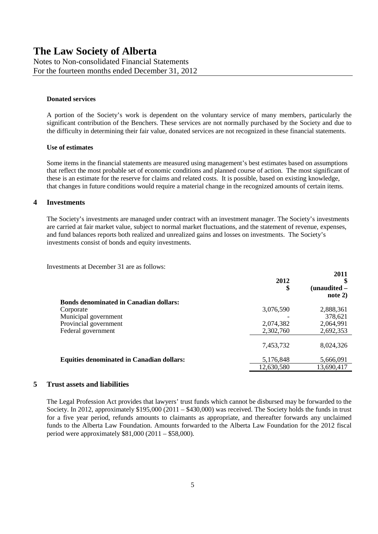#### **Donated services**

A portion of the Society's work is dependent on the voluntary service of many members, particularly the significant contribution of the Benchers. These services are not normally purchased by the Society and due to the difficulty in determining their fair value, donated services are not recognized in these financial statements.

### **Use of estimates**

Some items in the financial statements are measured using management's best estimates based on assumptions that reflect the most probable set of economic conditions and planned course of action. The most significant of these is an estimate for the reserve for claims and related costs. It is possible, based on existing knowledge, that changes in future conditions would require a material change in the recognized amounts of certain items.

### **4 Investments**

The Society's investments are managed under contract with an investment manager. The Society's investments are carried at fair market value, subject to normal market fluctuations, and the statement of revenue, expenses, and fund balances reports both realized and unrealized gains and losses on investments. The Society's investments consist of bonds and equity investments.

Investments at December 31 are as follows:

|                                                  | 2012<br>\$ | 2011<br>$(unaudited -$<br>note 2) |
|--------------------------------------------------|------------|-----------------------------------|
| <b>Bonds denominated in Canadian dollars:</b>    |            |                                   |
| Corporate                                        | 3,076,590  | 2,888,361                         |
| Municipal government                             |            | 378,621                           |
| Provincial government                            | 2,074,382  | 2,064,991                         |
| Federal government                               | 2,302,760  | 2,692,353                         |
|                                                  | 7,453,732  | 8,024,326                         |
| <b>Equities denominated in Canadian dollars:</b> | 5,176,848  | 5,666,091                         |
|                                                  | 12,630,580 | 13,690,417                        |

#### **5 Trust assets and liabilities**

The Legal Profession Act provides that lawyers' trust funds which cannot be disbursed may be forwarded to the Society. In 2012, approximately \$195,000 (2011 – \$430,000) was received. The Society holds the funds in trust for a five year period, refunds amounts to claimants as appropriate, and thereafter forwards any unclaimed funds to the Alberta Law Foundation. Amounts forwarded to the Alberta Law Foundation for the 2012 fiscal period were approximately  $$81,000 (2011 - $58,000)$ .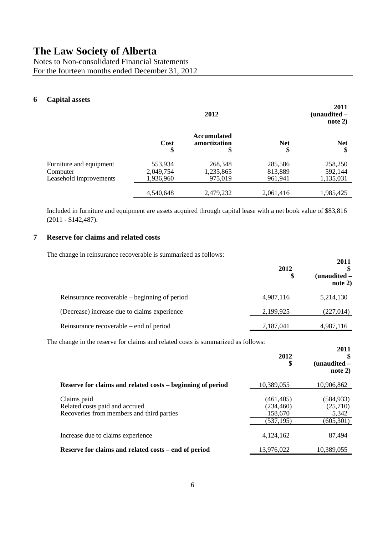Notes to Non-consolidated Financial Statements For the fourteen months ended December 31, 2012

### **6 Capital assets**

|                         |            | 2012                                     |                  | 2011<br>(unaudited –<br>note $2)$ |
|-------------------------|------------|------------------------------------------|------------------|-----------------------------------|
|                         | Cost<br>\$ | <b>Accumulated</b><br>amortization<br>\$ | <b>Net</b><br>\$ | <b>Net</b><br>\$                  |
| Furniture and equipment | 553,934    | 268,348                                  | 285,586          | 258,250                           |
| Computer                | 2,049,754  | 1,235,865                                | 813,889          | 592,144                           |
| Leasehold improvements  | 1,936,960  | 975,019                                  | 961,941          | 1,135,031                         |
|                         | 4,540,648  | 2,479,232                                | 2,061,416        | 1,985,425                         |

Included in furniture and equipment are assets acquired through capital lease with a net book value of \$83,816 (2011 - \$142,487).

### **7 Reserve for claims and related costs**

The change in reinsurance recoverable is summarized as follows:

| $\sim$ . The state of the second second second the second second that $\sim$ | 2012<br>\$ | 2011<br>$(unaudited -$<br>note $2)$ |
|------------------------------------------------------------------------------|------------|-------------------------------------|
| Reinsurance recoverable – beginning of period                                | 4,987,116  | 5,214,130                           |
| (Decrease) increase due to claims experience                                 | 2,199,925  | (227, 014)                          |
| Reinsurance recoverable – end of period                                      | 7,187,041  | 4,987,116                           |

The change in the reserve for claims and related costs is summarized as follows:

|                                                                                            | 2012<br>\$                                        | 40 L L<br>(unaudited –<br>note 2)             |
|--------------------------------------------------------------------------------------------|---------------------------------------------------|-----------------------------------------------|
| Reserve for claims and related costs – beginning of period                                 | 10,389,055                                        | 10,906,862                                    |
| Claims paid<br>Related costs paid and accrued<br>Recoveries from members and third parties | (461, 405)<br>(234, 460)<br>158,670<br>(537, 195) | (584, 933)<br>(25,710)<br>5,342<br>(605, 301) |
| Increase due to claims experience                                                          | 4, 124, 162                                       | 87,494                                        |
| Reserve for claims and related costs – end of period                                       | 13,976,022                                        | 10,389,055                                    |

**2011**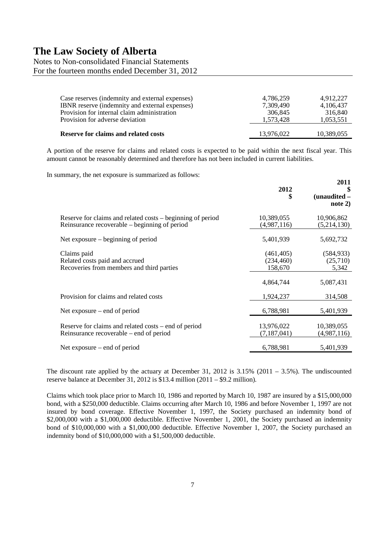# Notes to Non-consolidated Financial Statements For the fourteen months ended December 31, 2012 Case reserves (indemnity and external expenses) 4,786,259 4,912,227 IBNR reserve (indemnity and external expenses) 7,309,490 4,106,437 Provision for internal claim administration 306,845 316,840 Provision for adverse deviation 1,573,428 1,053,551

**Reserve for claims and related costs** 13,976,022 10,389,055

A portion of the reserve for claims and related costs is expected to be paid within the next fiscal year. This amount cannot be reasonably determined and therefore has not been included in current liabilities.

**2011**

In summary, the net exposure is summarized as follows:

|                                                                                                             | 2012<br>\$                                       | 2011<br>(unaudited -<br>note 2)              |
|-------------------------------------------------------------------------------------------------------------|--------------------------------------------------|----------------------------------------------|
| Reserve for claims and related costs – beginning of period<br>Reinsurance recoverable – beginning of period | 10,389,055<br>(4,987,116)                        | 10,906,862<br>(5,214,130)                    |
| Net exposure $-$ beginning of period                                                                        | 5,401,939                                        | 5,692,732                                    |
| Claims paid<br>Related costs paid and accrued<br>Recoveries from members and third parties                  | (461, 405)<br>(234, 460)<br>158,670<br>4,864,744 | (584, 933)<br>(25,710)<br>5,342<br>5,087,431 |
| Provision for claims and related costs                                                                      | 1,924,237                                        | 314,508                                      |
| Net exposure $-$ end of period                                                                              | 6,788,981                                        | 5,401,939                                    |
| Reserve for claims and related costs – end of period<br>Reinsurance recoverable – end of period             | 13,976,022<br>(7, 187, 041)                      | 10,389,055<br>(4,987,116)                    |
| Net exposure $-$ end of period                                                                              | 6,788,981                                        | 5,401,939                                    |

The discount rate applied by the actuary at December 31, 2012 is  $3.15\%$  (2011 – 3.5%). The undiscounted reserve balance at December 31, 2012 is \$13.4 million (2011 – \$9.2 million).

Claims which took place prior to March 10, 1986 and reported by March 10, 1987 are insured by a \$15,000,000 bond, with a \$250,000 deductible. Claims occurring after March 10, 1986 and before November 1, 1997 are not insured by bond coverage. Effective November 1, 1997, the Society purchased an indemnity bond of \$2,000,000 with a \$1,000,000 deductible. Effective November 1, 2001, the Society purchased an indemnity bond of \$10,000,000 with a \$1,000,000 deductible. Effective November 1, 2007, the Society purchased an indemnity bond of \$10,000,000 with a \$1,500,000 deductible.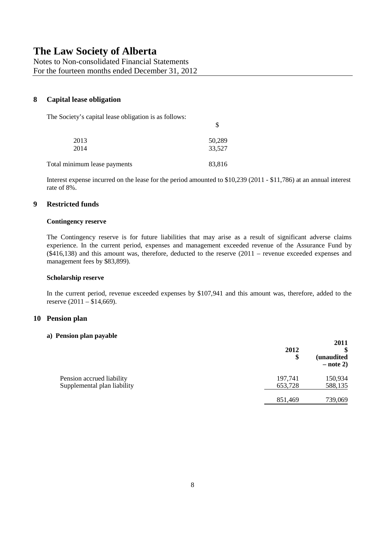Notes to Non-consolidated Financial Statements For the fourteen months ended December 31, 2012

### **8 Capital lease obligation**

The Society's capital lease obligation is as follows:

| 2013                         | 50,289 |
|------------------------------|--------|
| 2014                         | 33,527 |
| Total minimum lease payments | 83,816 |

Interest expense incurred on the lease for the period amounted to \$10,239 (2011 - \$11,786) at an annual interest rate of 8%.

\$

### **9 Restricted funds**

#### **Contingency reserve**

The Contingency reserve is for future liabilities that may arise as a result of significant adverse claims experience. In the current period, expenses and management exceeded revenue of the Assurance Fund by (\$416,138) and this amount was, therefore, deducted to the reserve (2011 – revenue exceeded expenses and management fees by \$83,899).

#### **Scholarship reserve**

In the current period, revenue exceeded expenses by \$107,941 and this amount was, therefore, added to the reserve (2011 – \$14,669).

### **10 Pension plan**

#### **a) Pension plan payable**

|                             | 2012<br>\$ | 2011<br><i>(unaudited)</i><br>$-$ note 2) |
|-----------------------------|------------|-------------------------------------------|
| Pension accrued liability   | 197,741    | 150,934                                   |
| Supplemental plan liability | 653,728    | 588,135                                   |
|                             | 851,469    | 739,069                                   |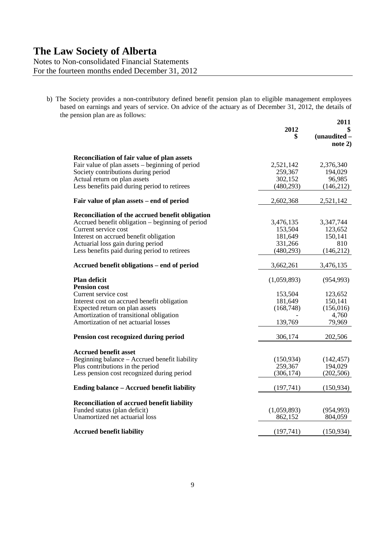Notes to Non-consolidated Financial Statements For the fourteen months ended December 31, 2012

b) The Society provides a non-contributory defined benefit pension plan to eligible management employees based on earnings and years of service. On advice of the actuary as of December 31, 2012, the details of the pension plan are as follows: **2011**

|                                                   | 2012        | 40 L L<br>\$<br>(unaudited -<br>note $2)$ |
|---------------------------------------------------|-------------|-------------------------------------------|
| Reconciliation of fair value of plan assets       |             |                                           |
| Fair value of plan assets – beginning of period   | 2,521,142   | 2,376,340                                 |
| Society contributions during period               | 259,367     | 194,029                                   |
| Actual return on plan assets                      | 302,152     | 96,985                                    |
| Less benefits paid during period to retirees      | (480, 293)  | (146, 212)                                |
| Fair value of plan assets – end of period         | 2,602,368   | 2,521,142                                 |
| Reconciliation of the accrued benefit obligation  |             |                                           |
| Accrued benefit obligation – beginning of period  | 3,476,135   | 3,347,744                                 |
| Current service cost                              | 153,504     | 123,652                                   |
| Interest on accrued benefit obligation            | 181,649     | 150,141                                   |
| Actuarial loss gain during period                 | 331,266     | 810                                       |
| Less benefits paid during period to retirees      | (480, 293)  | (146,212)                                 |
| Accrued benefit obligations - end of period       | 3,662,261   | 3,476,135                                 |
| Plan deficit                                      | (1,059,893) | (954, 993)                                |
| <b>Pension cost</b>                               |             |                                           |
| Current service cost                              | 153,504     | 123,652                                   |
| Interest cost on accrued benefit obligation       | 181,649     | 150,141                                   |
| Expected return on plan assets                    | (168, 748)  | (156,016)                                 |
| Amortization of transitional obligation           |             | 4,760                                     |
| Amortization of net actuarial losses              | 139,769     | 79,969                                    |
| Pension cost recognized during period             | 306,174     | 202,506                                   |
| <b>Accrued benefit asset</b>                      |             |                                           |
| Beginning balance - Accrued benefit liability     | (150, 934)  | (142, 457)                                |
| Plus contributions in the period                  | 259,367     | 194,029                                   |
| Less pension cost recognized during period        | (306, 174)  | (202, 506)                                |
|                                                   |             |                                           |
| <b>Ending balance - Accrued benefit liability</b> | (197,741)   | (150, 934)                                |
| Reconciliation of accrued benefit liability       |             |                                           |
| Funded status (plan deficit)                      | (1,059,893) | (954, 993)                                |
| Unamortized net actuarial loss                    | 862,152     | 804,059                                   |
|                                                   |             |                                           |
| <b>Accrued benefit liability</b>                  | (197,741)   | (150, 934)                                |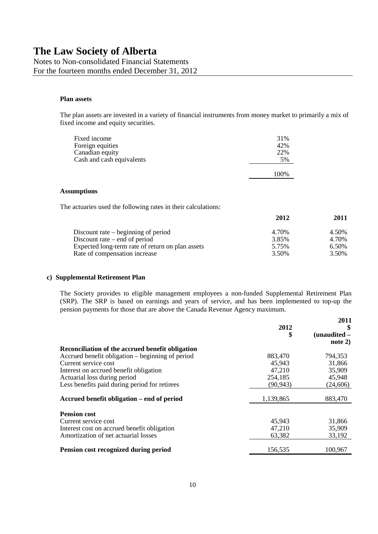Notes to Non-consolidated Financial Statements For the fourteen months ended December 31, 2012

#### **Plan assets**

The plan assets are invested in a variety of financial instruments from money market to primarily a mix of fixed income and equity securities.

| 31%   |
|-------|
| 42%   |
| 22%   |
| 5%    |
| 100\% |
|       |

#### **Assumptions**

The actuaries used the following rates in their calculations:

|                                                  | 2012  | 2011  |
|--------------------------------------------------|-------|-------|
| Discount rate $-$ beginning of period            | 4.70% | 4.50% |
| Discount rate $-$ end of period                  | 3.85% | 4.70% |
| Expected long-term rate of return on plan assets | 5.75% | 6.50% |
| Rate of compensation increase                    | 3.50% | 3.50% |

#### **c) Supplemental Retirement Plan**

The Society provides to eligible management employees a non-funded Supplemental Retirement Plan (SRP). The SRP is based on earnings and years of service, and has been implemented to top-up the pension payments for those that are above the Canada Revenue Agency maximum.

|                                                  | 2012<br>\$ | 2011<br>\$<br>$(unaudited -$<br>note 2) |
|--------------------------------------------------|------------|-----------------------------------------|
| Reconciliation of the accrued benefit obligation |            |                                         |
| Accrued benefit obligation – beginning of period | 883,470    | 794,353                                 |
| Current service cost                             | 45,943     | 31,866                                  |
| Interest on accrued benefit obligation           | 47,210     | 35,909                                  |
| Actuarial loss during period                     | 254,185    | 45,948                                  |
| Less benefits paid during period for retirees    | (90, 943)  | (24,606)                                |
| Accrued benefit obligation – end of period       | 1,139,865  | 883,470                                 |
| <b>Pension cost</b>                              |            |                                         |
| Current service cost                             | 45,943     | 31,866                                  |
| Interest cost on accrued benefit obligation      | 47,210     | 35,909                                  |
| Amortization of net actuarial losses             | 63,382     | 33,192                                  |
| Pension cost recognized during period            | 156,535    | 100,967                                 |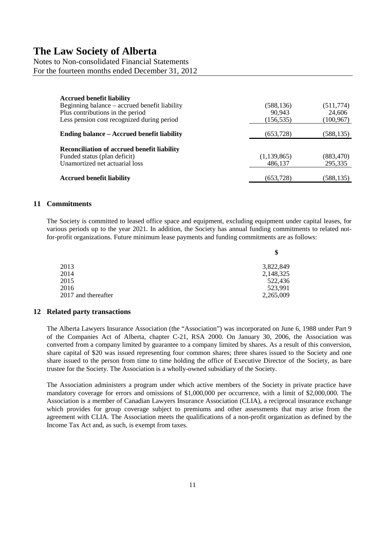Notes to Non-consolidated Financial Statements For the fourteen months ended December 31, 2012

| <b>Accrued benefit liability</b><br>Beginning balance – accrued benefit liability<br>Plus contributions in the period<br>Less pension cost recognized during period | (588, 136)<br>90,943<br>(156, 535) | (511, 774)<br>24,606<br>(100, 967)<br>(588, 135) |  |
|---------------------------------------------------------------------------------------------------------------------------------------------------------------------|------------------------------------|--------------------------------------------------|--|
| Ending balance – Accrued benefit liability                                                                                                                          | (653, 728)                         |                                                  |  |
| <b>Reconciliation of accrued benefit liability</b><br>Funded status (plan deficit)<br>Unamortized net actuarial loss                                                | (1, 139, 865)<br>486,137           | (883, 470)<br>295,335                            |  |
| <b>Accrued benefit liability</b>                                                                                                                                    | (653, 728)                         | (588, 135)                                       |  |

### **11 Commitments**

The Society is committed to leased office space and equipment, excluding equipment under capital leases, for various periods up to the year 2021. In addition, the Society has annual funding commitments to related notfor-profit organizations. Future minimum lease payments and funding commitments are as follows:

|                     | \$        |
|---------------------|-----------|
| 2013                | 3,822,849 |
| 2014                | 2,148,325 |
| 2015                | 522,436   |
| 2016                | 523,991   |
| 2017 and thereafter | 2,265,009 |

### **12 Related party transactions**

The Alberta Lawyers Insurance Association (the "Association") was incorporated on June 6, 1988 under Part 9 of the Companies Act of Alberta, chapter C-21, RSA 2000. On January 30, 2006, the Association was converted from a company limited by guarantee to a company limited by shares. As a result of this conversion, share capital of \$20 was issued representing four common shares; three shares issued to the Society and one share issued to the person from time to time holding the office of Executive Director of the Society, as bare trustee for the Society. The Association is a wholly-owned subsidiary of the Society.

The Association administers a program under which active members of the Society in private practice have mandatory coverage for errors and omissions of \$1,000,000 per occurrence, with a limit of \$2,000,000. The Association is a member of Canadian Lawyers Insurance Association (CLIA), a reciprocal insurance exchange which provides for group coverage subject to premiums and other assessments that may arise from the agreement with CLIA. The Association meets the qualifications of a non-profit organization as defined by the Income Tax Act and, as such, is exempt from taxes.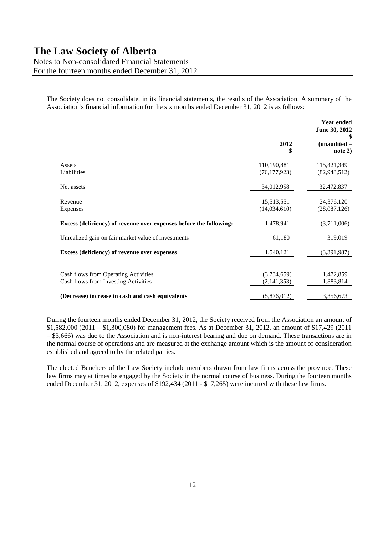Notes to Non-consolidated Financial Statements For the fourteen months ended December 31, 2012

The Society does not consolidate, in its financial statements, the results of the Association. A summary of the Association's financial information for the six months ended December 31, 2012 is as follows:

|                                                                              | <b>Year ended</b><br>June 30, 2012 |                             |  |
|------------------------------------------------------------------------------|------------------------------------|-----------------------------|--|
|                                                                              | 2012<br>\$                         | (unaudited -<br>note 2)     |  |
| Assets<br>Liabilities                                                        | 110,190,881<br>(76, 177, 923)      | 115,421,349<br>(82,948,512) |  |
| Net assets                                                                   | 34,012,958                         | 32,472,837                  |  |
| Revenue<br>Expenses                                                          | 15,513,551<br>(14, 034, 610)       | 24,376,120<br>(28,087,126)  |  |
| Excess (deficiency) of revenue over expenses before the following:           | 1,478,941                          | (3,711,006)                 |  |
| Unrealized gain on fair market value of investments                          | 61,180                             | 319,019                     |  |
| Excess (deficiency) of revenue over expenses                                 | 1,540,121                          | (3,391,987)                 |  |
| Cash flows from Operating Activities<br>Cash flows from Investing Activities | (3,734,659)<br>(2, 141, 353)       | 1,472,859<br>1,883,814      |  |
| (Decrease) increase in cash and cash equivalents                             | (5,876,012)                        | 3,356,673                   |  |

During the fourteen months ended December 31, 2012, the Society received from the Association an amount of \$1,582,000 (2011 – \$1,300,080) for management fees. As at December 31, 2012, an amount of \$17,429 (2011 – \$3,666) was due to the Association and is non-interest bearing and due on demand. These transactions are in the normal course of operations and are measured at the exchange amount which is the amount of consideration established and agreed to by the related parties.

The elected Benchers of the Law Society include members drawn from law firms across the province. These law firms may at times be engaged by the Society in the normal course of business. During the fourteen months ended December 31, 2012, expenses of \$192,434 (2011 - \$17,265) were incurred with these law firms.